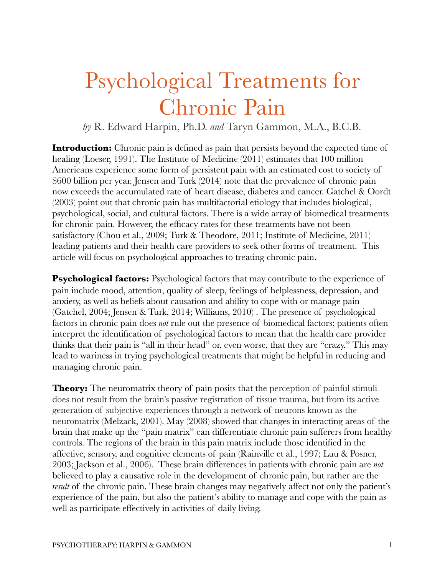## Psychological Treatments for Chronic Pain

*by* R. Edward Harpin, Ph.D. *and* Taryn Gammon, M.A., B.C.B.

**Introduction:** Chronic pain is defined as pain that persists beyond the expected time of healing (Loeser, 1991). The Institute of Medicine (2011) estimates that 100 million Americans experience some form of persistent pain with an estimated cost to society of \$600 billion per year. Jensen and Turk (2014) note that the prevalence of chronic pain now exceeds the accumulated rate of heart disease, diabetes and cancer. Gatchel & Oordt (2003) point out that chronic pain has multifactorial etiology that includes biological, psychological, social, and cultural factors. There is a wide array of biomedical treatments for chronic pain. However, the efficacy rates for these treatments have not been satisfactory (Chou et al., 2009; Turk & Theodore, 2011; Institute of Medicine, 2011) leading patients and their health care providers to seek other forms of treatment. This article will focus on psychological approaches to treating chronic pain.

**Psychological factors:** Psychological factors that may contribute to the experience of pain include mood, attention, quality of sleep, feelings of helplessness, depression, and anxiety, as well as beliefs about causation and ability to cope with or manage pain (Gatchel, 2004; Jensen & Turk, 2014; Williams, 2010) . The presence of psychological factors in chronic pain does *not* rule out the presence of biomedical factors; patients often interpret the identification of psychological factors to mean that the health care provider thinks that their pain is "all in their head" or, even worse, that they are "crazy." This may lead to wariness in trying psychological treatments that might be helpful in reducing and managing chronic pain.

**Theory:** The neuromatrix theory of pain posits that the perception of painful stimuli does not result from the brain's passive registration of tissue trauma, but from its active generation of subjective experiences through a network of neurons known as the neuromatrix (Melzack, 2001). May (2008) showed that changes in interacting areas of the brain that make up the "pain matrix" can differentiate chronic pain sufferers from healthy controls. The regions of the brain in this pain matrix include those identified in the affective, sensory, and cognitive elements of pain (Rainville et al., 1997; Luu & Posner, 2003; Jackson et al., 2006). These brain differences in patients with chronic pain are *not* believed to play a causative role in the development of chronic pain, but rather are the *result* of the chronic pain. These brain changes may negatively affect not only the patient's experience of the pain, but also the patient's ability to manage and cope with the pain as well as participate effectively in activities of daily living.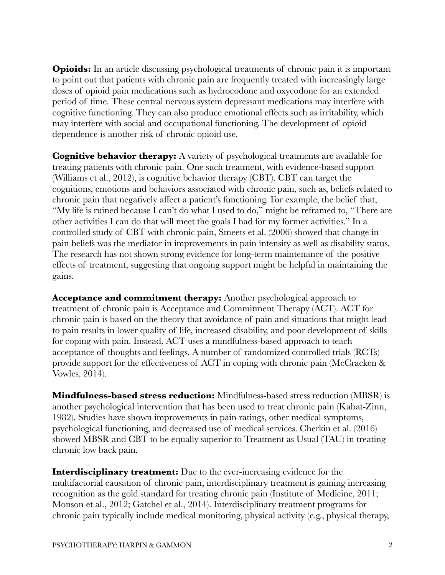**Opioids:** In an article discussing psychological treatments of chronic pain it is important to point out that patients with chronic pain are frequently treated with increasingly large doses of opioid pain medications such as hydrocodone and oxycodone for an extended period of time. These central nervous system depressant medications may interfere with cognitive functioning. They can also produce emotional effects such as irritability, which may interfere with social and occupational functioning. The development of opioid dependence is another risk of chronic opioid use.

**Cognitive behavior therapy:** A variety of psychological treatments are available for treating patients with chronic pain. One such treatment, with evidence-based support (Williams et al., 2012), is cognitive behavior therapy (CBT). CBT can target the cognitions, emotions and behaviors associated with chronic pain, such as, beliefs related to chronic pain that negatively affect a patient's functioning. For example, the belief that, "My life is ruined because I can't do what I used to do," might be reframed to, "There are other activities I can do that will meet the goals I had for my former activities." In a controlled study of CBT with chronic pain, Smeets et al. (2006) showed that change in pain beliefs was the mediator in improvements in pain intensity as well as disability status. The research has not shown strong evidence for long-term maintenance of the positive effects of treatment, suggesting that ongoing support might be helpful in maintaining the gains.

**Acceptance and commitment therapy:** Another psychological approach to treatment of chronic pain is Acceptance and Commitment Therapy (ACT). ACT for chronic pain is based on the theory that avoidance of pain and situations that might lead to pain results in lower quality of life, increased disability, and poor development of skills for coping with pain. Instead, ACT uses a mindfulness-based approach to teach acceptance of thoughts and feelings. A number of randomized controlled trials (RCTs) provide support for the effectiveness of ACT in coping with chronic pain (McCracken & Vowles, 2014).

**Mindfulness-based stress reduction:** Mindfulness-based stress reduction (MBSR) is another psychological intervention that has been used to treat chronic pain (Kabat-Zinn, 1982). Studies have shown improvements in pain ratings, other medical symptoms, psychological functioning, and decreased use of medical services. Cherkin et al. (2016) showed MBSR and CBT to be equally superior to Treatment as Usual (TAU) in treating chronic low back pain.

**Interdisciplinary treatment:** Due to the ever-increasing evidence for the multifactorial causation of chronic pain, interdisciplinary treatment is gaining increasing recognition as the gold standard for treating chronic pain (Institute of Medicine, 2011; Monson et al., 2012; Gatchel et al., 2014). Interdisciplinary treatment programs for chronic pain typically include medical monitoring, physical activity (e.g., physical therapy,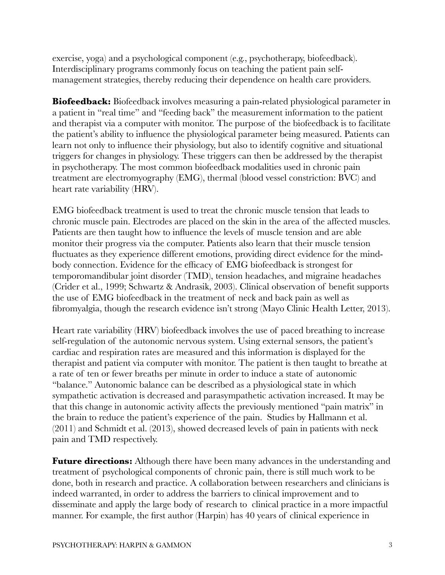exercise, yoga) and a psychological component (e.g., psychotherapy, biofeedback). Interdisciplinary programs commonly focus on teaching the patient pain selfmanagement strategies, thereby reducing their dependence on health care providers.

**Biofeedback:** Biofeedback involves measuring a pain-related physiological parameter in a patient in "real time" and "feeding back" the measurement information to the patient and therapist via a computer with monitor. The purpose of the biofeedback is to facilitate the patient's ability to influence the physiological parameter being measured. Patients can learn not only to influence their physiology, but also to identify cognitive and situational triggers for changes in physiology. These triggers can then be addressed by the therapist in psychotherapy. The most common biofeedback modalities used in chronic pain treatment are electromyography (EMG), thermal (blood vessel constriction: BVC) and heart rate variability (HRV).

EMG biofeedback treatment is used to treat the chronic muscle tension that leads to chronic muscle pain. Electrodes are placed on the skin in the area of the affected muscles. Patients are then taught how to influence the levels of muscle tension and are able monitor their progress via the computer. Patients also learn that their muscle tension fluctuates as they experience different emotions, providing direct evidence for the mindbody connection. Evidence for the efficacy of EMG biofeedback is strongest for temporomandibular joint disorder (TMD), tension headaches, and migraine headaches (Crider et al., 1999; Schwartz & Andrasik, 2003). Clinical observation of benefit supports the use of EMG biofeedback in the treatment of neck and back pain as well as fibromyalgia, though the research evidence isn't strong (Mayo Clinic Health Letter, 2013).

Heart rate variability (HRV) biofeedback involves the use of paced breathing to increase self-regulation of the autonomic nervous system. Using external sensors, the patient's cardiac and respiration rates are measured and this information is displayed for the therapist and patient via computer with monitor. The patient is then taught to breathe at a rate of ten or fewer breaths per minute in order to induce a state of autonomic "balance." Autonomic balance can be described as a physiological state in which sympathetic activation is decreased and parasympathetic activation increased. It may be that this change in autonomic activity affects the previously mentioned "pain matrix" in the brain to reduce the patient's experience of the pain. Studies by Hallmann et al. (2011) and Schmidt et al. (2013), showed decreased levels of pain in patients with neck pain and TMD respectively.

**Future directions:** Although there have been many advances in the understanding and treatment of psychological components of chronic pain, there is still much work to be done, both in research and practice. A collaboration between researchers and clinicians is indeed warranted, in order to address the barriers to clinical improvement and to disseminate and apply the large body of research to clinical practice in a more impactful manner. For example, the first author (Harpin) has 40 years of clinical experience in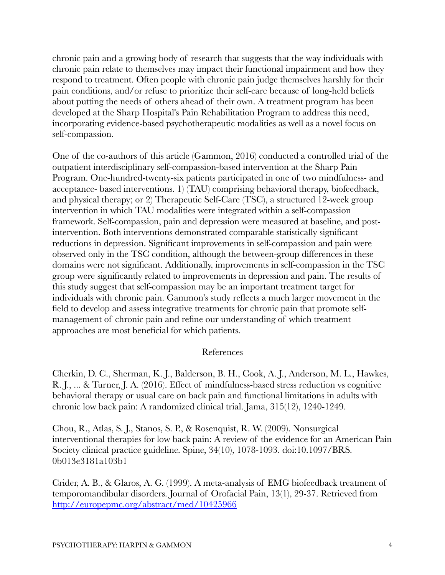chronic pain and a growing body of research that suggests that the way individuals with chronic pain relate to themselves may impact their functional impairment and how they respond to treatment. Often people with chronic pain judge themselves harshly for their pain conditions, and/or refuse to prioritize their self-care because of long-held beliefs about putting the needs of others ahead of their own. A treatment program has been developed at the Sharp Hospital's Pain Rehabilitation Program to address this need, incorporating evidence-based psychotherapeutic modalities as well as a novel focus on self-compassion.

One of the co-authors of this article (Gammon, 2016) conducted a controlled trial of the outpatient interdisciplinary self-compassion-based intervention at the Sharp Pain Program. One-hundred-twenty-six patients participated in one of two mindfulness- and acceptance- based interventions. 1) (TAU) comprising behavioral therapy, biofeedback, and physical therapy; or 2) Therapeutic Self-Care (TSC), a structured 12-week group intervention in which TAU modalities were integrated within a self-compassion framework. Self-compassion, pain and depression were measured at baseline, and postintervention. Both interventions demonstrated comparable statistically significant reductions in depression. Significant improvements in self-compassion and pain were observed only in the TSC condition, although the between-group differences in these domains were not significant. Additionally, improvements in self-compassion in the TSC group were significantly related to improvements in depression and pain. The results of this study suggest that self-compassion may be an important treatment target for individuals with chronic pain. Gammon's study reflects a much larger movement in the field to develop and assess integrative treatments for chronic pain that promote selfmanagement of chronic pain and refine our understanding of which treatment approaches are most beneficial for which patients.

## References

Cherkin, D. C., Sherman, K. J., Balderson, B. H., Cook, A. J., Anderson, M. L., Hawkes, R. J., ... & Turner, J. A. (2016). Effect of mindfulness-based stress reduction vs cognitive behavioral therapy or usual care on back pain and functional limitations in adults with chronic low back pain: A randomized clinical trial. Jama, 315(12), 1240-1249.

Chou, R., Atlas, S. J., Stanos, S. P., & Rosenquist, R. W. (2009). Nonsurgical interventional therapies for low back pain: A review of the evidence for an American Pain Society clinical practice guideline. Spine, 34(10), 1078-1093. doi:10.1097/BRS. 0b013e3181a103b1

Crider, A. B., & Glaros, A. G. (1999). A meta-analysis of EMG biofeedback treatment of temporomandibular disorders. Journal of Orofacial Pain, 13(1), 29-37. Retrieved from <http://europepmc.org/abstract/med/10425966>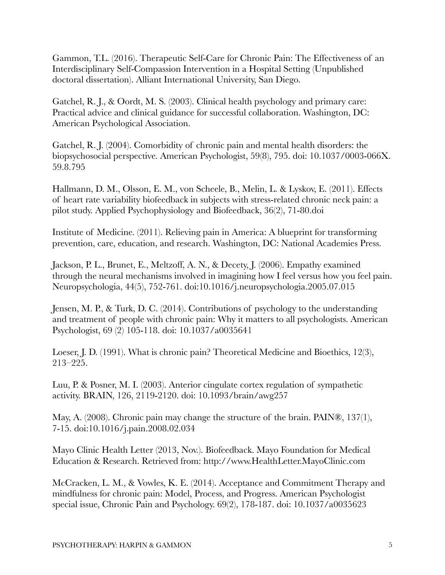Gammon, T.L. (2016). Therapeutic Self-Care for Chronic Pain: The Effectiveness of an Interdisciplinary Self-Compassion Intervention in a Hospital Setting (Unpublished doctoral dissertation). Alliant International University, San Diego.

Gatchel, R. J., & Oordt, M. S. (2003). Clinical health psychology and primary care: Practical advice and clinical guidance for successful collaboration. Washington, DC: American Psychological Association.

Gatchel, R. J. (2004). Comorbidity of chronic pain and mental health disorders: the biopsychosocial perspective. American Psychologist, 59(8), 795. doi: 10.1037/0003-066X. 59.8.795

Hallmann, D. M., Olsson, E. M., von Scheele, B., Melin, L. & Lyskov, E. (2011). Effects of heart rate variability biofeedback in subjects with stress-related chronic neck pain: a pilot study. Applied Psychophysiology and Biofeedback, 36(2), 71-80.doi

Institute of Medicine. (2011). Relieving pain in America: A blueprint for transforming prevention, care, education, and research. Washington, DC: National Academies Press.

Jackson, P. L., Brunet, E., Meltzoff, A. N., & Decety, J. (2006). Empathy examined through the neural mechanisms involved in imagining how I feel versus how you feel pain. Neuropsychologia, 44(5), 752-761. doi:10.1016/j.neuropsychologia.2005.07.015

Jensen, M. P., & Turk, D. C. (2014). Contributions of psychology to the understanding and treatment of people with chronic pain: Why it matters to all psychologists. American Psychologist, 69 (2) 105-118. doi: 10.1037/a0035641

Loeser, J. D. (1991). What is chronic pain? Theoretical Medicine and Bioethics, 12(3), 213–225.

Luu, P. & Posner, M. I. (2003). Anterior cingulate cortex regulation of sympathetic activity. BRAIN, 126, 2119-2120. doi: 10.1093/brain/awg257

May, A. (2008). Chronic pain may change the structure of the brain. PAIN®, 137(1), 7-15. doi:10.1016/j.pain.2008.02.034

Mayo Clinic Health Letter (2013, Nov.). Biofeedback. Mayo Foundation for Medical Education & Research. Retrieved from: http://www.HealthLetter.MayoClinic.com

McCracken, L. M., & Vowles, K. E. (2014). Acceptance and Commitment Therapy and mindfulness for chronic pain: Model, Process, and Progress. American Psychologist special issue, Chronic Pain and Psychology. 69(2), 178-187. doi: 10.1037/a0035623